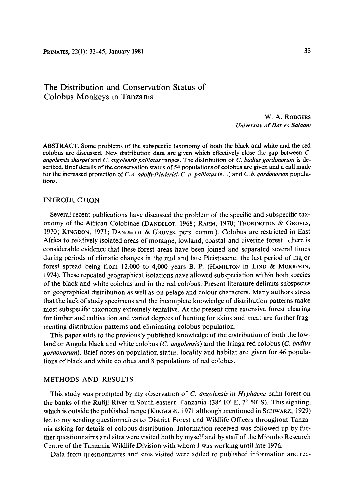# The Distribution and Conservation Status of Colobus Monkeys in Tanzania

W. A. RODGERS *University of Dar es Salaam* 

ABSTRACT. Some problems of the subspecific taxonomy of both the black and white and the red colobus are discussed. New distribution data are given which effectively close the gap between C. *angolensis sharpei* and *C. angolensis palliatus* ranges. The distribution of *C. badius gordonorum* is described. Brief details of the conservation status of 54 populations of colobus are given and a call made for the increased protection of *C. a. adolfi-friederici, C. a. palliatus* (s. I.) and *C.b. gordonorum* populations.

### INTRODUCTION

Several recent publications have discussed the problem of the specific and subspecific taxonomy of the African Colobinae (DANDELOT, 1968; RAHM, 1970; THORINGTON & GROVES, 1970; KINGDON, 1971; DANDELOT & GROVES, pers. comm.). Colobus are restricted in East Africa to relatively isolated areas of montane, lowland, coastal and riverine forest. There is considerable evidence that these forest areas have been joined and separated several times during periods of climatic changes in the mid and late Pleistocene, the last period of major forest spread being from 12,000 to 4,000 years B. P. (HAMILTON in LIND & MORRISON, 1974). These repeated geographical isolations have aliowed subspeciation within both species of the black and white colobus and in the red colobus. Present literature delimits subspecies on geographical distribution as well as on pelage and colour characters. Many authors stress that the lack of study specimens and the incomplete knowledge of distribution patterns make most subspecific taxonomy extremely tentative. At the present time extensive forest clearing for timber and cultivation and varied degrees of hunting for skins and meat are further fragmenting distribution patterns and eliminating colobus population.

This paper adds to the previously published knowledge of the distribution of both the lowland or Angola black and white colobus *(C. angolensis)* and the Iringa red colobus *(C. badius gordonorum).* Brief notes on population status, locality and habitat are given for 46 populations of black and white colobus and 8 populations of red colobus.

#### METHODS AND RESULTS

This study was prompted by my observation of *C. angolensis* in *Hyphaene* palm forest on the banks of the Rufiji River in South-eastern Tanzania  $(38^\circ 10' E, 7^\circ 50' S)$ . This sighting, which is outside the published range (KINGDON, 1971 although mentioned in SCHWARZ, 1929) led to my sending questionnaires to District Forest and Wildlife Officers throughout Tanzania asking for details of colobus distribution. Information received was followed up by further questionnaires and sites were visited both by myself and by staffof the Miombo Research Centre of the Tanzania Wildlife Division with whom I was working until late 1976.

Data from questionnaires and sites visited were added to published information and rec-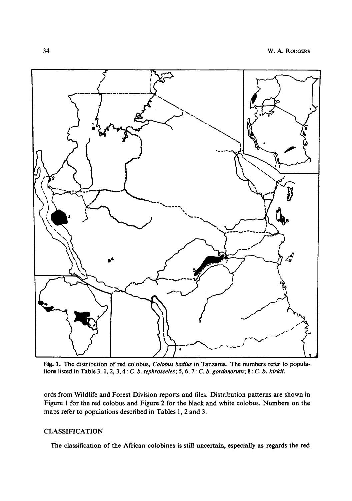

Fig. 1. The distribution of red colobus, *Colobus badius* in Tanzania. The numbers refer to populations listed in Table 3.1, 2, 3, 4: *C. b. tephrosceles;* 5, 6, 7: *C. b. gordonorum;* 8: *C. b. kirkii.* 

ords from Wildlife and Forest Division reports and files. Distribution patterns are shown in Figure 1 for the red colobus and Figure 2 for the black and white colobus. Numbers on the maps refer to populations described in Tables 1, 2 and 3.

### CLASSIFICATION

The classification of the African colobines is still uncertain, especially as regards the red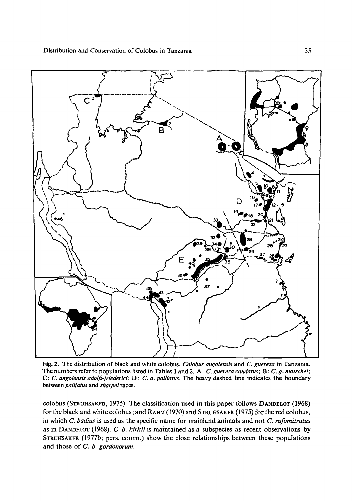

Fig. 2. The distribution of black and white colobus, *Colobus angolensis* and *C. guereza* in Tanzania. The numbers refer to populations listed in Tables I and *2. A: C. guereza caudatus; B: C. g. matschei;*  C: *C. angolensis adolfi-friederici; D: C. a. palliatus.* The heavy dashed line indicates the boundary between *palliatus* and *sharpei* races.

colobus (STRUHSAKER, 1975). The classification used in this paper follows DANDELOT (1968) for the black and white colobus; and RAHM (1970) and STRUHSAKER (1975) for the red colobus, in which *C. badius* is used as the specific name for mainland animals and not *C. rufomitratus*  as in DANDELOT (1968). *C. b. kirkii* is maintained as a subspecies as recent observations by STRUHSAKER (1977b; pets. comm.) show the close relationships between these populations and those of *C. b. gordonorum.*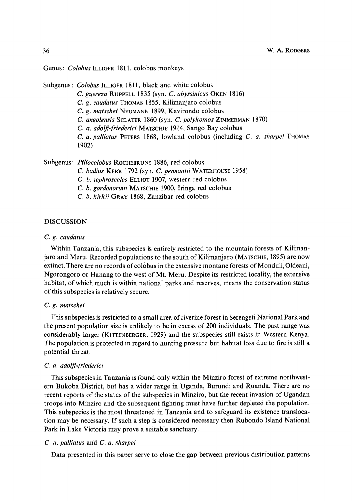Genus: *Colobus* ILLIGER 1811, colobus monkeys

- Subgenus: *Colobus* ILLIGER 1811, black and white colobus *C. guereza* RUPPELL 1835 (syn. *C. abyssinicus* OKEN 1816) *C. g. caudatus* THOMAS 1855, Kitimanjaro colobus *C~ g. matschei* NEUMANN 1899, Kavirondo colobus *C. angolensis* SCLATER 1860 (syn. *C. polykomos* ZIMMERMAN 1870) *C. a. adolfi~friederici* MATSCHIE 1914, Sango Bay colobus *C. a. palliatus* PETERS 1868, lowland colobus (including *C. a. sharpei* THOMAS 1902)
- Subgenus: *Piliocolobus* ROCHEBRUNE 1886, red colobus *C. badius* KERR 1792 (syn. *C. pennantii* WATERHOUSE 1958) *C. b. tephrosceles* ELLIOT 1907, western red colobus *C. b. gordonorum* MATSCmE 1900, Iringa red colobus *C. b. kirkii* GRAY 1868, Zanzibar red colobus

### DISCUSSION

#### *C. g. caudatus*

Within Tanzania, this subspecies is entirely restricted to the mountain forests of Kilimanjaro and Meru. Recorded populations to the south of Kilimanjaro (MATSCHIE, 1895) are now extinct. There are no records of colobus in the extensive montane forests of Monduli, Oldeani, Ngorongoro or Hanang to the west of Mt. Meru. Despite its restricted locality, the extensive habitat, of which much is within national parks and reserves, means the conservation status of this subspecies is relatively secure.

#### *C. g. matschei*

This subspecies is restricted to a small area of riverine forest in Serengeti National Park and the present population size is unlikely to be in excess of 200 individuals. The past range was considerably larger (KITTENBERGER, 1929) and the subspecies still exists in Western Kenya. The population is protected in regard to hunting pressure but habitat loss due to fire is still a potential threat.

#### *C. a. adolfi:friederici*

This subspecies in Tanzania is found only within the Minziro forest of extreme northwestern Bukoba District, but has a wider range in Uganda, Burundi and Ruanda. There are no recent reports of the status of the subspecies in Minziro, but the recent invasion of Ugandan troops into Minziro and the subsequent fighting must have further depleted the population. This subspecies is the most threatened in Tanzania and to safeguard its existence transloeation may be necessary. If such a step is considered necessary then Rubondo Island National Park in Lake Victoria may prove a suitable sanctuary.

#### *C. a. palliatus* and *C. a. sharpei*

Data presented in this paper serve to close the gap between previous distribution patterns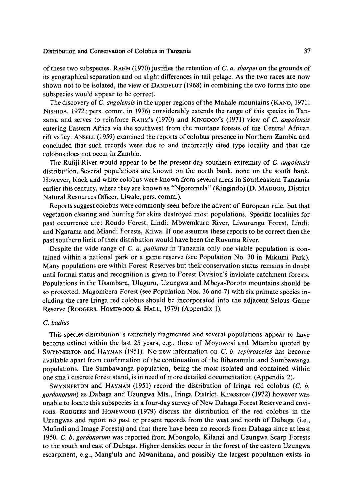#### Distribution and Conservation of Colobus in Tanzania 37

of these two subspecies. RAHM (1970)justifies the retention of *C. a. sharpei* on the grounds of its geographical separation and on slight differences in tail pelage. As the two races are now shown not to be isolated, the view of DANDELOT (1968) in combining the two forms into one subspecies would appear to be correct.

The discovery of *C. angolensis* in the upper regions of the Mahale mountains (KANO, 1971 ; NISHIDA, 1972; pers. comm. in 1976) considerably extends the range of this species in Tanzania and serves to reinforce RAHM'S (1970) and KINGDON'S (I971) view of *C. angolensis*  entering Eastern Africa via the southwest from the montane forests of the Central African rift valley. ANSELL (1959) examined the reports of colobus presence in Northern Zambia and concluded that such records were due to and incorrectly cited type locality and that the colobus does not occur in Zambia.

The Rufiji River would appear to be the present day southern extremity of *C. angolensis*  distribution. Several populations are known on the north bank, none on the south bank. However, black and white colobus were known from several areas in Southeastern Tanzania earlier this century, where they are known as "Ngoromela" (Kingindo) (D. MAOOGO, District Natural Resources Officer, Liwale, pers. comm.).

Reports suggest colobus were commonly seen before the advent of European rule, but that vegetation clearing and hunting for skins destroyed most populations. Specific localities for past occurrence are: Rondo Forest, Lindi; Mbwemkuru River, Liwurungu Forest, Lindi; and Ngarama and Miandi Forests, Kilwa. If one assumes these reports to be correct then the past southern limit of their distribution would have been the Ruvuma River.

Despite the wide range of *C. a. palliatus* in Tanzania only one viable population is contained within a national park or a game reserve (see Population No. 30 in Mikumi Park). Many populations are within Forest Reserves but their conservation status remains in doubt until formal status and recognition is given to Forest Division's inviolate catchment forests. Populations in the Usambara, Uluguru, Uzungwa and Mbeya-Poroto mountains should be so protected. Magombera Forest (see Population Nos. 36 and 7) with six primate species including the rare Iringa red colobus should be incorporated into the adjacent Selous Game Reserve (RoDGERS, HOMEWOOD & HALL, 1979) (Appendix 1).

#### *C. badius*

This species distribution is extremely fragmented and several populations appear to have become extinct within the last 25 years, e.g., those of Moyowosi and Mtambo quoted by SWYNNERTON and HAYMAN (1951). No new information on *C. b. tephrosceles* has become available apart from confirmation of the continuation of the Biharamulo and Sumbawanga populations. The Sumbawanga population, being the most isolated and contained within one small discrete forest stand, is in need of more detailed documentation (Appendix 2).

SWYNNERTON and HAYMAN (1951) record the distribution of Iringa red colobus  $(C, b)$ . *gordonorum)* as Dabaga and Uzungwa Mts., Iringa District. KINGSTON (1972) however was unable to locate this subspecies in a four-day survey of New Dabaga Forest Reserve and environs. RODGERS and HOMEWOOD (1979) discuss the distribution of the red colobus in the Uzungwas and report no past or present records from the west and north of Dabaga (i.e., Mufindi and Image Forests) and that there have been no records from Dabaga since at least 1950. *C. b. gordonorum* was reported from Mbongolo, Kilanzi and Uzungwa Scarp Forests to the south and east of Dabaga. Higher densities occur in the forest of the eastern Uzungwa escarpment, e.g., Mang'ula and Mwanihana, and possibly the largest population exists in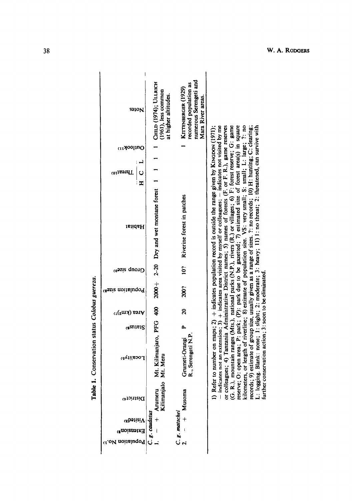| səion<br><b>Gutlook11</b><br>ں<br>ں<br><b>Threat<sup>10)</sup></b><br>$\mathbf{r}$<br>Habitat<br>Group size <sup>92</sup><br><sup>ca</sup> ssie noitslugo¶ | 1 Снігр (1974); ULLRICH<br>$(1961)$ , less common<br>at higher altitudes.<br>$2000 + 2-20$ Dry and wet montane forest 1 | numerous Serengeti and<br>recorded population as<br>KITTENBERGER (1929)<br>Mara River areas<br>Riverine forest in patches<br>$\overline{10}$<br>200? | mountain ranges (Mts.), national parks (N.P.), rivers (R.) or villages; 6) F: forest reserve; G: game<br>O: open area; P: park; (P): park due to be gazetted; 7) estimated size of forest area(s) in square<br>agues; 4) Tanzania Administrative District names; 5) names of forests (F. or F. R.), game reserves<br>ers, or length of riverline; 8) estimate of population size. VS: very small; S: small; L: large; ?: no<br>records; 9) estimate of group size, usually given as a range of sizes. ?: no records; 10) H: hunting; C: clearing;<br>ing. Blank: none; 1: slight; 2: moderate; 3: heavy; 11) 1: no threat; 2: threatened, can survive with<br>indicates not an extension; 3) + indicates area visited by myself or colleagues; - indicates not visited by me<br>to number on maps; 2) + indicates population record is outside the range given by KINGDON (1971); |
|------------------------------------------------------------------------------------------------------------------------------------------------------------|-------------------------------------------------------------------------------------------------------------------------|------------------------------------------------------------------------------------------------------------------------------------------------------|-----------------------------------------------------------------------------------------------------------------------------------------------------------------------------------------------------------------------------------------------------------------------------------------------------------------------------------------------------------------------------------------------------------------------------------------------------------------------------------------------------------------------------------------------------------------------------------------------------------------------------------------------------------------------------------------------------------------------------------------------------------------------------------------------------------------------------------------------------------------------------------|
| Area (km <sup>2</sup> ) <sup>7)</sup>                                                                                                                      |                                                                                                                         | 20                                                                                                                                                   |                                                                                                                                                                                                                                                                                                                                                                                                                                                                                                                                                                                                                                                                                                                                                                                                                                                                                   |
| <sub>co</sub> snieig                                                                                                                                       |                                                                                                                         | ρ.                                                                                                                                                   |                                                                                                                                                                                                                                                                                                                                                                                                                                                                                                                                                                                                                                                                                                                                                                                                                                                                                   |
| Locality <sup>5)</sup>                                                                                                                                     | Mt. Kilimanjaro, PFG 400<br>Mt. Meru                                                                                    | R., Serengeti N.P.<br>Grumeti-Orangi                                                                                                                 | conservation action; 3: soon to be eliminated                                                                                                                                                                                                                                                                                                                                                                                                                                                                                                                                                                                                                                                                                                                                                                                                                                     |
| <sup>c</sup> hoineid                                                                                                                                       | Kilimanjalo<br>Arumeru                                                                                                  | $+$ Musoma                                                                                                                                           | or collea<br>kilomet<br>L: loggi<br>i) Refer<br>$(G, R)$ ,<br>reserve;<br>iurther                                                                                                                                                                                                                                                                                                                                                                                                                                                                                                                                                                                                                                                                                                                                                                                                 |
| ceborieiV                                                                                                                                                  | C. g. caudatus                                                                                                          | C. g. matschei                                                                                                                                       |                                                                                                                                                                                                                                                                                                                                                                                                                                                                                                                                                                                                                                                                                                                                                                                                                                                                                   |
| Extension <sup>a)</sup>                                                                                                                                    |                                                                                                                         |                                                                                                                                                      |                                                                                                                                                                                                                                                                                                                                                                                                                                                                                                                                                                                                                                                                                                                                                                                                                                                                                   |
| Population No. <sup>1)</sup>                                                                                                                               |                                                                                                                         |                                                                                                                                                      |                                                                                                                                                                                                                                                                                                                                                                                                                                                                                                                                                                                                                                                                                                                                                                                                                                                                                   |
|                                                                                                                                                            |                                                                                                                         |                                                                                                                                                      |                                                                                                                                                                                                                                                                                                                                                                                                                                                                                                                                                                                                                                                                                                                                                                                                                                                                                   |

Table 1. Conservation status Colobus guereza. Table 1. Conservation status *Colobus guereza.*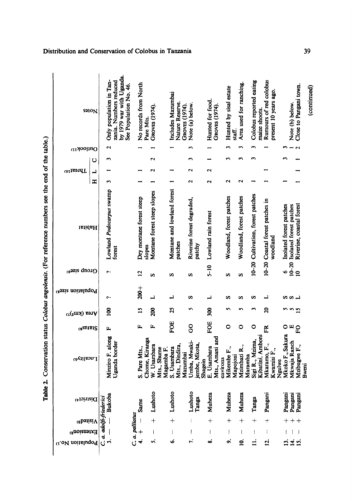| satoN                                 | by 1979 war with Uganda.<br>Only population in Tan-<br>zania. Numbers reduced<br>See Population No. 46. | No records from North    | GROVES (1974).<br>Pare Mts.                                | Includes Mazumbai<br>Nature Reserve.<br>GROVES (1974). | Note (a) below.                          | Hunted for food.<br><b>GROVES</b> (1974)   | Hunted by sisal estate<br>staff. | Area used for ranching.  | Colobus reported eating<br>maize shoots.       | Rumours of red colobus<br>present 10 years ago. |                            | Close to Pangani town.<br>Note (b) below.           | (continued) |
|---------------------------------------|---------------------------------------------------------------------------------------------------------|--------------------------|------------------------------------------------------------|--------------------------------------------------------|------------------------------------------|--------------------------------------------|----------------------------------|--------------------------|------------------------------------------------|-------------------------------------------------|----------------------------|-----------------------------------------------------|-------------|
| <b>Outlook11</b>                      | $\mathbf{\tilde{c}}$                                                                                    |                          |                                                            |                                                        | 3                                        |                                            | $\blacksquare$                   | ᠊ᠭ                       | m                                              |                                                 |                            | ⊣ ∼                                                 |             |
| ပ                                     | $\sim$                                                                                                  |                          | 2                                                          |                                                        | c                                        |                                            | m                                | S                        | S                                              |                                                 | œ                          |                                                     |             |
| Threat <sup>10)</sup><br>ᆜ            |                                                                                                         |                          | $\tilde{\phantom{0}}$                                      |                                                        | $\mathbf{\tilde{c}}$                     | $\overline{\mathbf{c}}$                    |                                  |                          |                                                |                                                 |                            |                                                     |             |
| Ξ                                     | S                                                                                                       |                          |                                                            |                                                        | $\mathbf{\sim}$                          | $\mathbf{\tilde{c}}$                       | u                                | N                        |                                                |                                                 |                            |                                                     |             |
| Habitat                               | Lowland Podocarpus swamp<br>forest                                                                      | Dry montane forest steep | Montane forest steep slopes<br>slopes                      | Montane and lowland forest<br>patches                  | Riverine forest degraded,<br>patchy      | Lowland rain forest                        | Woodland, forest patches         | Woodland, forest patches | 10-20 Cultivation, forest patches              | 10-20 Coastal forest patches in<br>woodland     | Isolated forest patches    | Riverine, coastal forest<br>Isolated forest patches |             |
| Group size <sup>9</sup>               | ç.                                                                                                      | $\overline{a}$           | s                                                          | s                                                      | S                                        | $5-10$                                     | S                                | w                        |                                                |                                                 | o                          | $10 - 20$<br>$\mathbf{Q}$                           |             |
| Population size <sup>8</sup>          | ç.                                                                                                      | $200 +$                  | ڀ                                                          | ┙                                                      | w                                        | ᆜ                                          | n                                | n                        | s                                              | ┙                                               |                            | <b>UND</b>                                          |             |
| Area (km <sup>2</sup> ) <sup>7)</sup> | ខ្ម                                                                                                     | $\overline{1}$           | 8 <sup>o</sup>                                             | $\mathbf{z}$                                           | n                                        | Ş,                                         | n                                | m                        | m                                              | $\boldsymbol{\mathcal{Z}}$                      |                            | ととび                                                 |             |
| catus <sup>6</sup>                    | Щ                                                                                                       | щ                        | д,                                                         | FOE                                                    | 8                                        | FOE                                        | $\circ$                          | $\circ$                  | $\circ$                                        | FR                                              |                            | $\circ$ $\mathbf{r}$<br>EO                          |             |
| $\Gamma$ ocsjit $\lambda_{2}$         | Minziro F. along<br>Uganda border                                                                       | S. Pare Mts.,            | Chome, Kiranga<br>W. Usambara<br>Magamba F.<br>Mts., Shume | Mts., Dindira,<br>S. Usambara<br>Mazumbai              | Umba, Mwaki-<br>jembe, Mkota,<br>Shagein | Mts., Amani and<br>E. Usambara<br>environs | Mikembe F.,<br>Mapojoni          | Mzimbazi R.,             | Kibatini, Amboni<br>Sigi R., Mzima,<br>Maramba | Mkaramo, F.,<br>Kwamisi F.,                     | Mkoko F., Sakura<br>Ngulwe | Mkwaja Ranch<br>Mzibugwe F.,                        | Bweni       |
| <sup>ct</sup> ricit <sup>4</sup>      | Bukoba<br>adolfi-friederici                                                                             | Same                     | Lushoto                                                    | Lushoto                                                | Lushoto<br>Tanga                         | Muheza                                     | Muheza                           | Muheza                   | Tanga                                          | Pangani                                         | Pangani                    | Pangani<br>Pangani                                  |             |
| <b>GDailely</b>                       |                                                                                                         | C. a. palliatus          | $^{+}$                                                     | $^{+}$                                                 |                                          | $^{+}$                                     | $\ddag$                          | $^{+}$                   | $^{+}$                                         | $\ddot{}$                                       |                            | $\boldsymbol{+}$<br>$^{+}$                          |             |
| Extension <sub>8</sub>                |                                                                                                         |                          | $\mathsf{I}$                                               | ł                                                      |                                          | $\overline{1}$                             | ł                                | $\overline{\phantom{a}}$ | $\mathbf{I}$                                   | $\overline{1}$                                  |                            |                                                     |             |
| Population No. <sup>1)</sup>          | d<br>ن<br><br>m                                                                                         |                          | n                                                          | ی                                                      |                                          | ထ                                          | ö                                | ≌                        |                                                | Ξ,                                              |                            | 4<br>⋍                                              |             |
|                                       |                                                                                                         |                          |                                                            |                                                        |                                          |                                            |                                  |                          |                                                |                                                 |                            |                                                     |             |

bution and Conservation of Colol

Table 2. Conservation status *Colobus angolenais.* (For reference numbers see the end of the table.)

Table 2. Conservation status Colobus angolensis. (For reference numbers see the end of the table.)

39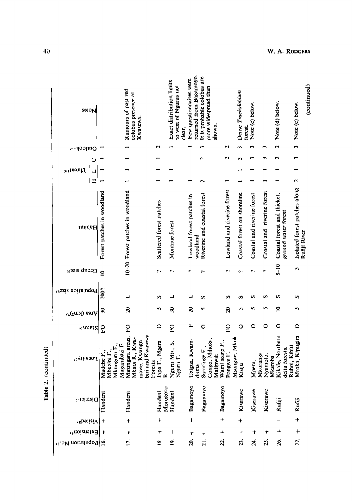| saioN                          |                                                         | Rumours of past red<br>colobus presence at<br>Kwasewa.                             |                          | Exact distribution limits<br>to west of Ngurus not<br>clear. | returned from Bagamoyo<br>Few questionnaires were | It is probable colobus are<br>more widespread than<br>shown. |                                               | Dense Trachylobium<br>forest. | Note (c) below.             |                             | Note (d) below.                                    | 3 Note (e) below.                | (continued)  |
|--------------------------------|---------------------------------------------------------|------------------------------------------------------------------------------------|--------------------------|--------------------------------------------------------------|---------------------------------------------------|--------------------------------------------------------------|-----------------------------------------------|-------------------------------|-----------------------------|-----------------------------|----------------------------------------------------|----------------------------------|--------------|
| <b>Outlook<sup>11</sup></b>    |                                                         |                                                                                    | 2                        |                                                              |                                                   | $\mathbf{c}$                                                 | $\mathbf{\hat{c}}$                            |                               | $\overline{\phantom{a}}$    | S                           | $\mathbf{\hat{c}}$                                 |                                  |              |
|                                |                                                         |                                                                                    |                          |                                                              |                                                   | $\mathbf{r}$                                                 | $\mathbf{\hat{z}}$                            | S                             | $\overline{\phantom{0}}$    | 3                           | $\overline{\mathbf{c}}$                            | m                                |              |
| Threat <sup>10)</sup>          |                                                         |                                                                                    |                          |                                                              |                                                   |                                                              |                                               |                               |                             |                             |                                                    |                                  |              |
| Ξ                              |                                                         |                                                                                    |                          |                                                              |                                                   | 2                                                            |                                               |                               |                             |                             |                                                    | $\mathbf{\hat{z}}$               |              |
| Habitat                        | Forest patches in woodland                              | 10-20 Forest patches in woodland                                                   | Scattered forest patches | Montane forest                                               | Lowland forest patches in<br>woodland             | Riverine and coastal forest                                  | Lowland and riverine forest                   | Coastal forest on shoreline   | Coastal and riverine forest | Coastal and riverine forest | Coastal forest and thicket,<br>ground water forest | Isolated forest patches along    | Rufiji River |
| Group size <sup>9</sup>        | $\mathbf{a}$                                            |                                                                                    | ۰.                       | e.                                                           | $\ddot{\phantom{0}}$                              | ٠ج                                                           | $\sim$                                        | ċ                             | ٠ج                          | ç.                          | $5 - 10$                                           | n                                |              |
| Population size <sup>83</sup>  | 200?                                                    |                                                                                    | s                        |                                                              |                                                   | s                                                            | s                                             | ທ                             | S                           | S                           | s                                                  | S                                |              |
| Area $(\text{km}^2)^{72}$      | 8                                                       | $\boldsymbol{\mathcal{R}}$                                                         | n                        | $\mathbf{e}$                                                 | $\boldsymbol{\mathcal{Z}}$                        | n                                                            | $\boldsymbol{\mathcal{Z}}$                    | 5                             | ∽                           | n                           | $\mathbf{P}$                                       | n                                |              |
| Gerias <sup>6)</sup>           | <b>PD</b>                                               | <b>PO</b>                                                                          | $\circ$                  | <b>PO</b>                                                    | μ.                                                | $\circ$                                                      | <b>C</b>                                      | O                             | $\circ$                     | c                           | 0                                                  | $\circ$                          |              |
| $\Gamma$ ocs $\mu_1 \lambda_2$ | Magambazi F.<br>Mkunguru F<br>Mbuzini F.,<br>Madebe F., | biri and Kwasewa<br>Mazingara areas,<br>Mkata R., Kwa-<br>mawe, Kwangu-<br>Forests | Japa F., Mgera           | Nguru Mts., S.<br>Nguru F.                                   | Uzigua, Kwam-<br>duma                             | Congo, Mihuga,<br>Sararinge F.,<br>Matipwili                 | Msungwe, Mkok<br>Wami scarp F.,<br>Pongwe F., | Kisiju                        | Mkuranga<br>Mpera,          | Nyamoto,                    | Kikale, Northern<br>delta forests,<br>Mkamba       | Mroka, Kipugira<br>Ruhoi, Kibiti |              |
| District <sup>4)</sup>         | Handeni                                                 | Handeni                                                                            | Morogoro<br>Handeni      | Handeni                                                      | <b>Bagamoyo</b>                                   | Bagamoyo                                                     | Bagamoyo                                      | Kiserawe                      | Kiserawe                    | Kiserawe                    | Rufiji                                             | Rufiji                           |              |
| <i>c</i> baileiV               |                                                         | $^{+}$                                                                             | $\ddag$                  |                                                              | I                                                 | $\overline{\phantom{a}}$                                     | $\,{}^+$                                      | $\ddot{}$                     | $\overline{\phantom{a}}$    | $\overline{\phantom{a}}$    | $^{+}$                                             | $\overline{+}$                   |              |
| Extension <sup>2</sup>         | +                                                       | +                                                                                  | $\,{}^+$                 |                                                              | $\,^+$                                            | +                                                            | +                                             | $\overline{1}$                | +                           | $\,{}^+$                    | $\,{}^+$                                           | $+$                              |              |
| $\mathbb{E} \text{Popularity}$ |                                                         | É                                                                                  | ∾                        | ē.                                                           | $\overline{a}$                                    | 21.                                                          | 22.                                           | 23.                           | 24.                         | 25.                         | 26.                                                | 27.                              |              |

**Table 2.**  $\frac{1}{2}$  (**2.**  $\frac{1}{2}$  **Continued)** Table 2. (continued)

40

## Ro<sub>p</sub>c.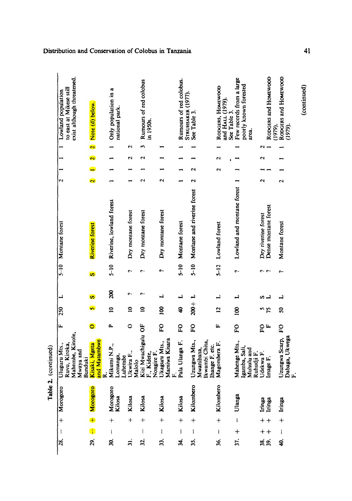|             | exist although threatened.<br>to east at Mikese still<br>Lowland population<br>$\mathbf{\hat{c}}$ | Note (d) below.<br>$\overline{\mathbf{N}}$<br>$\overline{\mathbf{c}}$<br>$\overline{\mathbf{N}}$ | Only population in a<br>national park. | $\mathbf{\hat{z}}$<br>Z | Rumours of red colobus<br>in 1950s.<br>$\ddot{\phantom{1}}$<br>$\mathbf \Omega$<br>$\mathbf{\tilde{c}}$ | ∾                                                 | Rumours of red colobus.<br>STRUHSAKER (1977) | See Table 3.<br>Ν<br>2                                                       | RODGERS, HOMEWOOD<br>and HALL (1979).<br>See Table 3.<br>2<br>$\mathbf{\hat{z}}$ | Few records from a large<br>poorly known forested<br>area.              | RODGERS and HOMEWOOD<br>$\overline{\mathbf{v}}$<br>2<br>N | RODGERS and HOMEWOOD<br>$(1979)$ .<br>(1979)<br>2   |
|-------------|---------------------------------------------------------------------------------------------------|--------------------------------------------------------------------------------------------------|----------------------------------------|-------------------------|---------------------------------------------------------------------------------------------------------|---------------------------------------------------|----------------------------------------------|------------------------------------------------------------------------------|----------------------------------------------------------------------------------|-------------------------------------------------------------------------|-----------------------------------------------------------|-----------------------------------------------------|
|             | Montane forest                                                                                    | <b>Riverine forest</b>                                                                           | Riverine, lowland forest               | Dry montane forest      | Dry montane forest                                                                                      | Dry montane forest                                | 5-10 Montane forest                          | Montane and riverine forest                                                  | Lowland forest                                                                   | Lowland and montane forest                                              | Dense montane forest<br>Dry riverine forest               | Montane forest                                      |
|             | $5 - 10$                                                                                          | $\overline{\mathcal{D}}$                                                                         | $5 - 10$<br>g                          | ç.<br>ç.                | ة.                                                                                                      | e.,                                               |                                              | $5 - 10$                                                                     | $5 - 12$                                                                         | ç.                                                                      | ب .                                                       | e.                                                  |
|             |                                                                                                   | $\sigma$<br>S.                                                                                   | $\mathbf{a}$                           | $\mathbf{S}$            | $\mathbf{z}$                                                                                            | 니<br>g                                            | د<br>Ş                                       | پ<br>$200 +$                                                                 | L<br>5                                                                           |                                                                         | n<br>s<br>25                                              | ຊ                                                   |
|             | 250<br>щ                                                                                          | $\bullet$                                                                                        | р.,                                    | $\circ$                 |                                                                                                         |                                                   |                                              |                                                                              | L,                                                                               | Š,                                                                      |                                                           |                                                     |
| (continued) | Mahembe, Kinole,<br>Ruvu, Kiroka,<br>Uluguru Mts.,<br>Mwaya and<br><b>Bunduki</b>                 | and Matambwe<br>Kisaki, Mgeta<br>ż                                                               | Mikumi N.P.,<br>Lomanga,<br>Luhembe    | Ukwira F.,<br>Malolo    | Kizi Mwachigulu OF<br>F., Kidete,<br>Nongire F.                                                         | <b>PO</b><br>Mamiwa Kisara<br>Ukaguru Mts.,<br>L. | ဥ<br>Pala Ulanga F.                          | <b>PO</b><br>Uzungwa Mts.,<br>Ikwambi Chita,<br>Ihange F. etc.<br>Mwanihana, | Magombera F.                                                                     | <b>PO</b><br>Mahenge Mts.,<br>Igamba, Sali,<br>Muhulu and<br>Ruhudji F. | ۵r<br>Udekwa F.<br>Image F                                | <b>PO</b><br>Dabaga, Ukwega<br>F.<br>Uzungwa Scarp, |
| Table 2.    | Morogoro                                                                                          | Morogoro                                                                                         | Morogoro<br>Kilosa                     | Kilosa                  | Kilosa                                                                                                  | Kilosa                                            | Kilosa                                       | Kilombero                                                                    | Kilombero                                                                        | Ulanga                                                                  | Iringa<br>Iringa                                          | Iringa                                              |
|             | $\ddot{}$                                                                                         | $+$                                                                                              | $^{+}$                                 | $+$                     | $^{+}$                                                                                                  | $\ddot{}$                                         | $+$                                          | $^{+}$                                                                       | $\ddot{+}$                                                                       | ţ                                                                       | $\ddag$<br>$\ddot{\phantom{1}}$                           | $\ddot{}$                                           |
|             | I<br>28                                                                                           | $\overline{\mathbf{1}}$<br>29.                                                                   | 1<br>S.                                | $\overline{31}$ .       | $\mathbf{I}$<br>55.                                                                                     | ı<br>3.                                           | I<br>त्रं                                    | I<br>э.                                                                      | I<br>\$                                                                          | $\bm{+}$<br>37.                                                         | ┿<br>$\,^+$<br><b>ಜೆ</b> ಜಿ                               | $\mathop{!}\nolimits$<br>Ş.                         |

# Distribution and Conservation of Colobus in T

 $\epsilon$  continued)  $\epsilon$ (continued)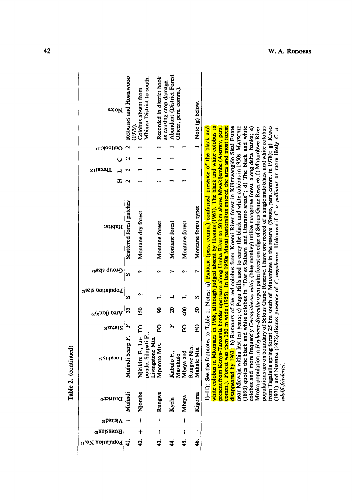| ı |
|---|
| J |
|   |

|                                                     | estoN | 2 RODGERS and HOMEWOOD<br>(1979). | Mbinga District to south.<br>Colobus absent from | Recorded in district book<br>as causing crop damage. | Abundant (District Forest<br>Officer, pers. comm.). |                          | $1$ Note $(g)$ below. |  |
|-----------------------------------------------------|-------|-----------------------------------|--------------------------------------------------|------------------------------------------------------|-----------------------------------------------------|--------------------------|-----------------------|--|
| $_{\alpha}$ 1700 $\mu$ 0                            |       |                                   |                                                  |                                                      |                                                     |                          |                       |  |
|                                                     |       |                                   |                                                  |                                                      |                                                     |                          |                       |  |
| Threat <sup>10)</sup>                               | HLC   |                                   |                                                  |                                                      |                                                     |                          |                       |  |
|                                                     |       |                                   |                                                  |                                                      |                                                     |                          |                       |  |
| Habitat                                             |       | Scattered forest patches          | Montane dry forest                               | Montane forest                                       | Montane forest                                      | Montane forest           | Montane forest types  |  |
| dnoug<br>32ISوی                                     |       | U                                 |                                                  |                                                      |                                                     |                          | ç.                    |  |
| szie goitslugo¶                                     |       | n                                 |                                                  |                                                      |                                                     |                          |                       |  |
| Area (km $^{2/2}$                                   |       | 35                                | $\frac{50}{2}$                                   | 8                                                    | R                                                   | 400<br>4                 | 50 <sub>o</sub>       |  |
| <sub>co</sub> snieig                                |       |                                   |                                                  | £                                                    | щ                                                   | <u>ទ</u>                 | o<br>F                |  |
| Locality <sup>5)</sup>                              |       | Mufindi Scarp F. F                | Njirikiru F., Lu-FO<br>ponde, Silupati F.,       | Livingstone Mts.<br>Mporoto Mts.                     | Kabulo F.,<br>Masukulo                              | Rungwe Mts.<br>Mbeya and | Mahale Mts.           |  |
| <sup>c</sup> riciet <sup>4</sup>                    |       |                                   | Njombe                                           | Kungwe                                               | Kyela                                               |                          | Kigoma                |  |
| <b><i>CEbatiely</i></b>                             |       |                                   |                                                  |                                                      |                                                     |                          | $\mathbf{1}$          |  |
| Extension <sup>3</sup>                              |       |                                   |                                                  |                                                      |                                                     |                          | I                     |  |
| $\frac{1}{\sqrt{2}}$   Population No. <sup>1)</sup> |       |                                   |                                                  |                                                      |                                                     |                          | \$                    |  |

white colobus in Mkomazi in 1968, although judged absent by HARRIS (1967). The black and white colobus is comm.). Forest was then 150 m wide (1955). In late 1950s Masai pastoralists entered the area and most forest (1893) quotes the black and white colobus in "Dares Salaam and Uzaramo areas"; d) The black and white from Tagalalla spring forest 25 km south of Matambwe in the reserve (Speep, pers. comm. in 1978); g) K^NO  $1$ )-I1): See the footnotes to Table 1. Notes: a) PARKER (pers. comm.) confirmed presence of the black and present from Kenya-Tanzania border upstream along Umba River to 50 km above Mwakijembe (ANstrev, pets.) disappeared by 1963; b) Rumours of the red colobus from Koemi River forest in Kilimwangido Sisal Estate near Mkwaja within last ten years; c) Pugu Hills used to carry the black and white colobus in 1950s. MATSCHIE near Mkwaja within last ten years; c) Pugu Hills used to carry the black and white colobus in 1950s. MArSCmE colobus and more frequently *Cercopithecus mitis* (blue monkey) utilize mangrove forest along delta banks; e) Mroka population in *Hyphaene-Sterculia* open palm forest on edge of Selous Game Reserve; f) Matambwe River populations are on boundary of Selous Game Reserve. I have one record of a single male black and white colobus (1971) and NZSmDA (1972) discuss presence of C. *angolensis.* Unknown if *C. a. palliatus* or more likely C. a.  $1$ -11): See the footnotes to Table 1. Notes: a) PARKER (pers. comm.) confirmed presence of the black and white colobus in Mkomazi in 1968, although judged absent by HARRIS (1967). The black and white colobus is disappeared by 1963; b) Rumours of the red colobus from Koemi River forest in Kilimwangido Sisal Estate (1893) quotes the black and white colobus in "Dar es Salaam and Uzaramo areas"; d) The black and white colobus and more frequently Cercopithecus mit is (blue monkey) utilize mangrove forest along delta banks; e) Mroka population in Hyphaene-Sterculia open palm forest on edge of Selous Game Reserve; f) Matambwe River populations are on boundary of Selous Game Reserve. I have one record of a single male black and white colobus rom Tagalalla spring forest 25 km south of Matambwe in the reserve (SPEED, pers. comm. in 1978); g) KANO (1971) and Nissino (1972) discuss presence of C. angolensis. Unknown if C. a. palliatus or more likely C. a. present from Kenya-Tanzania border upstream along Umba River to 50 km above Mwakijembe (ANSTEY, pers. comm.). Forest was then 150 m wide (1955). In late 1950s Masai pastoralists entered the area and most forest *adolfi-friederici.*  adolfi-friederici.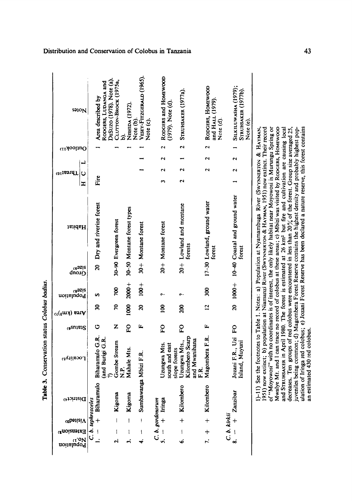|                                      | SaioN<br><b>Outlook<sup>11</sup></b><br>Threat <sup>10</sup><br>Ò<br>H<br>Habitat<br>aize <sup>92</sup><br>Group<br>aize <sup>82</sup><br>Population | RODGERS, LUDANGA and<br>Area described by<br>Fire<br>Dry and riverine forest<br>ຊ<br>s<br>æ | DESUZO (1978). Note (a).<br>CLUTTON-BROCK (1975a,<br>30-90 Evergreen forest<br>ğ,<br>20 | NISHIDA (1972).<br>خ<br>30-50 Montane forest types<br>$2000 +$ | VESEY-FITZGERALD (1965).<br>Note (b)<br>Note (c).<br>30+ Montane forest<br>$100 +$<br>$\overline{a}$ | RODGERS and HOMEWOOD<br>(1979). Note (d)<br>$\mathbf{\tilde{c}}$<br>$\mathbf{\tilde{c}}$<br>N<br>S<br>20+ Montane forest<br>ç. | STRUHSAKER (1977a).<br>$\mathbf{\tilde{c}}$<br>N<br>2<br>20+ Lowland and montane<br>forests<br>ę. | RODGERS, HOMEWOOD<br>and HALL (1979)<br>Note (d).<br>$\mathbf{\tilde{c}}$<br>$\mathbf{\tilde{c}}$<br>2<br>17-30 Lowland, ground water<br>forest<br>Ş,<br>$\mathbf{r}$ | SILKILUWASHA (1979);<br>STRUHSAKER (1977b)<br>Note (e)<br>2<br>$\mathbf{\hat{z}}$<br>10-40 Coastal and ground water<br>forest<br>$1000 +$<br>$\overline{20}$ | of "Moyowosi" with no coordinates is of interest, the only likely habitat near Moyowosi is Murungu Spring or<br>decreases. Ten groups of red colobus were encountered in less than 20% of the forest. Group size averaged 25,<br>ulation of Iringa red colobus; e) Jozani Forest Reserve has been declared a nature reserve, this forest contains<br>$(-11)$ See the footnotes to Table 1. Notes: a) Population at Nyamambuga River (SwyNNERTON & HAYMAN,<br>Mwalye Mt. and I can trace no record of colobus at these areas; c) Mbizi was visited by Ropoens, Howewoop<br>1951) now extinct; b) population at Niamanzi River (SWYNNERTON & HAYMAN, 1951) now extinct. Their record<br>and STRUHSAKER in April 1980. The forest is estimated at 26 km <sup>2</sup> but fire and cultivation are causing local<br>eing common; d) Magombera Forest Reserve contains the highest density and probably highest pop- |
|--------------------------------------|------------------------------------------------------------------------------------------------------------------------------------------------------|---------------------------------------------------------------------------------------------|-----------------------------------------------------------------------------------------|----------------------------------------------------------------|------------------------------------------------------------------------------------------------------|--------------------------------------------------------------------------------------------------------------------------------|---------------------------------------------------------------------------------------------------|-----------------------------------------------------------------------------------------------------------------------------------------------------------------------|--------------------------------------------------------------------------------------------------------------------------------------------------------------|-----------------------------------------------------------------------------------------------------------------------------------------------------------------------------------------------------------------------------------------------------------------------------------------------------------------------------------------------------------------------------------------------------------------------------------------------------------------------------------------------------------------------------------------------------------------------------------------------------------------------------------------------------------------------------------------------------------------------------------------------------------------------------------------------------------------------------------------------------------------------------------------------------------------|
|                                      | Area (km <sup>2</sup> ) <sup>72</sup>                                                                                                                |                                                                                             |                                                                                         | 8                                                              |                                                                                                      | g                                                                                                                              | 8                                                                                                 |                                                                                                                                                                       |                                                                                                                                                              |                                                                                                                                                                                                                                                                                                                                                                                                                                                                                                                                                                                                                                                                                                                                                                                                                                                                                                                 |
| Consei vation status Colooms Dagius. | <sub>c9</sub> snieig<br>$\Gamma$ ocality <sup>5)</sup>                                                                                               | Ù<br>Biharamulo G.R.<br>and Burigi G.R.                                                     | Z<br>Gombe Stream<br>بم<br>Z                                                            | <b>PO</b><br>Mahale Mts.                                       | Щ<br>Mbizi F.R.                                                                                      | <b>PD</b><br>Uzungwa Mts.<br>south and east<br>slope forests                                                                   | <b>PO</b><br>Kilombero Scarp<br>and Mwanihana<br>Uzungwa Mts.,<br>F.R.                            | щ<br>Magombera F.R.                                                                                                                                                   | <b>PO</b><br>Iozani F.R., Uzi<br>sland, Muyuni                                                                                                               |                                                                                                                                                                                                                                                                                                                                                                                                                                                                                                                                                                                                                                                                                                                                                                                                                                                                                                                 |
| ころ DNA コミュニス                         | District <sup>4)</sup><br><sboriely<br>Extension<sup>1</sup><br/>No.<sup>12</sup><br/>Population</sboriely<br>                                       | Biharamulo<br>tephrosceles<br>خ<br>ن                                                        | ౯<br>Kigoma                                                                             | Kigoma<br>ł<br>1                                               | Sumbawanga<br>Ţ<br>ł                                                                                 | Iringa<br>C. b. gordonorum<br>$\ddot{}$                                                                                        | Kilombero<br>+<br>ł                                                                               | Kilombero<br>$^{+}$<br>┿                                                                                                                                              | <b>Zanzibar</b><br>C. b. kirkii<br>$\ddot{}$                                                                                                                 | juveniles b                                                                                                                                                                                                                                                                                                                                                                                                                                                                                                                                                                                                                                                                                                                                                                                                                                                                                                     |

Table 3. Conservation status *Colobus badius.*  Table 3. Conservation status Colobus badius.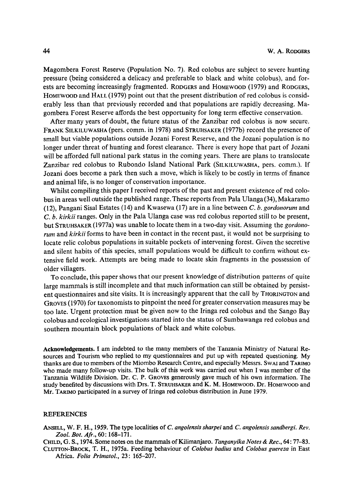Magombera Forest Reserve (Population No. 7). Red colobus are subject to severe hunting pressure (being considered a delicacy and preferable to black and white colobus), and forests are becoming increasingly fragmented. RODGERS and HOMEWOOD (1979) and RODGERS, HOMEWOOD and HALL (1979) point out that the present distribution of red colobus is considerably less than that previously recorded and that populations are rapidly decreasing. Magombera Forest Reserve affords the best opportunity for long term effective conservation.

After many years of doubt, the future status of the Zanzibar red colobus is now secure. FRANK SILKILUWASHA (pers. comm. in 1978) and STRUHSAKER (1977b) record the presence of small but viable populations outside Jozani Forest Reserve, and the Jozani population is no longer under threat of hunting and forest clearance. There is every hope that part of Jozani will be afforded full national park status in the coming years. There are plans to translocate Zanzibar red colobus to Rubondo Island National Park (SILKILUWASHA, pers. comm.). If Jozani does become a park then such a move, which is likely to be costly in terms of finance and animal life, is no longer of conservation importance.

Whilst compiling this paper I received reports of the past and present existence of red colobus in areas well outside the published range. These reports from Pala Ulanga (34), Makaramo (12), Pangani Sisal Estates (14) and Kwasewa (17) are in a line between *C. b. gordonorum* and *C. b. kirkii* ranges. Only in the Pala Ulanga case was red colobus reported still to be present, but STRUHSAKER (1977a) was unable to locate them in a two-day visit. Assuming the *gordonorum* and *kirkii* forms to have been in contact in the recent past, it would not be surprising to locate relic colobus populations in suitable pockets of intervening forest. Given the secretive and silent habits of this species, small populations would be difficult to confirm without extensive field work. Attempts are being made to locate skin fragments in the possession of older villagers.

To conclude, this paper shows that our present knowledge of distribution patterns of quite large mammals is still incomplete and that much information can still be obtained by persistent questionnaires and site visits. It is increasingly apparent that the call by THORINGTON and GRovEs (1970) for taxonomists to pinpoint the need for greater conservation measures may be too late. Urgent protection must be given now to the Iringa red colobus and the Sango Bay colobus and ecological investigations started into the status of Sumbawanga red colobus and southern mountain block populations of black and white colobus.

Acknowledgements. I am indebted to the many members of the Tanzania Ministry of Natural Resources and Tourism who replied to my questionnaires and put up with repeated questioning. My thanks are due to members of the Miombo Research Centre, and especially Messrs. SWAI and TARIMO who made many follow-up visits. The bulk of this work was carried out when I was member of the Tanzania Wildlife Division. Dr. C. P. GROVES generously gave much of his own information. The study benefited by discussions with Drs. T. STRUHSAKER and K. M. HOMEWOOD. Dr. HOMEWOOD and Mr. TARIMO participated in a survey of Iringa red colobus distribution in June 1979.

#### REFERENCES

ANSELL, W. F. H., 1959. The type localities of *C. angolensis sharpei* and *C. angolensis sandbergi. Rev. ZooL Bot. Aft.,* 60: 168-171.

CHILD, G. S., 1974. Some notes on the mammals of Kilimanjaro. *Tanganyika Notes & Rec.,* 64: 77-83.

CLtrrrON-BROCK, T. H., 1975a. Feeding behaviour of *Colobus badius* and *Colobus guereza* in East Africa. *Folia Primatol.,* 23: 165-207.